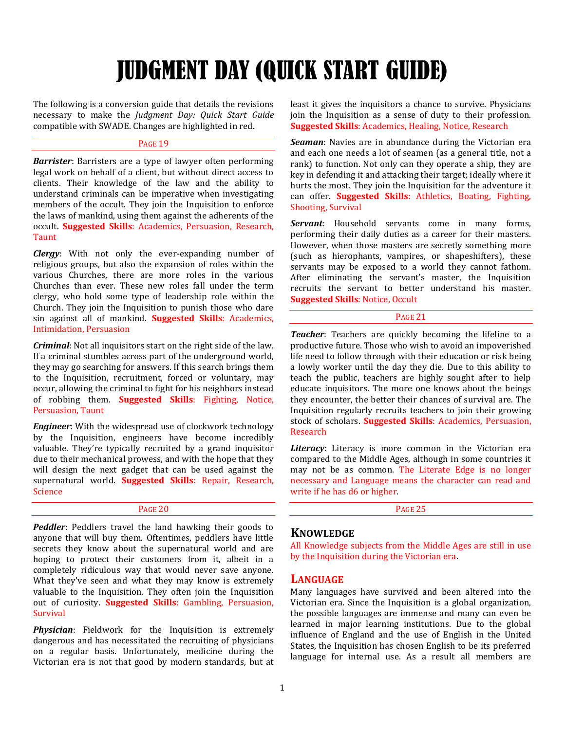# JUDGMENT DAY (QUICK START GUIDE)

The following is a conversion guide that details the revisions necessary to make the *Judgment Day: Quick Start Guide* compatible with SWADE. Changes are highlighted in red.

## PAGE 19

*Barrister*: Barristers are a type of lawyer often performing legal work on behalf of a client, but without direct access to clients. Their knowledge of the law and the ability to understand criminals can be imperative when investigating members of the occult. They join the Inquisition to enforce the laws of mankind, using them against the adherents of the occult. **Suggested Skills**: Academics, Persuasion, Research, Taunt

*Clergy*: With not only the ever-expanding number of religious groups, but also the expansion of roles within the various Churches, there are more roles in the various Churches than ever. These new roles fall under the term clergy, who hold some type of leadership role within the Church. They join the Inquisition to punish those who dare sin against all of mankind. **Suggested Skills**: Academics, Intimidation, Persuasion

*Criminal*: Not all inquisitors start on the right side of the law. If a criminal stumbles across part of the underground world, they may go searching for answers. If this search brings them to the Inquisition, recruitment, forced or voluntary, may occur, allowing the criminal to fight for his neighbors instead of robbing them. **Suggested Skills**: Fighting, Notice, Persuasion, Taunt

*Engineer*: With the widespread use of clockwork technology by the Inquisition, engineers have become incredibly valuable. They're typically recruited by a grand inquisitor due to their mechanical prowess, and with the hope that they will design the next gadget that can be used against the supernatural world. **Suggested Skills**: Repair, Research, Science

## PAGE 20

*Peddler*: Peddlers travel the land hawking their goods to anyone that will buy them. Oftentimes, peddlers have little secrets they know about the supernatural world and are hoping to protect their customers from it, albeit in a completely ridiculous way that would never save anyone. What they've seen and what they may know is extremely valuable to the Inquisition. They often join the Inquisition out of curiosity. **Suggested Skills**: Gambling, Persuasion, Survival

*Physician*: Fieldwork for the Inquisition is extremely dangerous and has necessitated the recruiting of physicians on a regular basis. Unfortunately, medicine during the Victorian era is not that good by modern standards, but at least it gives the inquisitors a chance to survive. Physicians join the Inquisition as a sense of duty to their profession. **Suggested Skills**: Academics, Healing, Notice, Research

*Seaman*: Navies are in abundance during the Victorian era and each one needs a lot of seamen (as a general title, not a rank) to function. Not only can they operate a ship, they are key in defending it and attacking their target; ideally where it hurts the most. They join the Inquisition for the adventure it can offer. **Suggested Skills**: Athletics, Boating, Fighting, Shooting, Survival

*Servant*: Household servants come in many forms, performing their daily duties as a career for their masters. However, when those masters are secretly something more (such as hierophants, vampires, or shapeshifters), these servants may be exposed to a world they cannot fathom. After eliminating the servant's master, the Inquisition recruits the servant to better understand his master. **Suggested Skills**: Notice, Occult

## PAGE 21

*Teacher*: Teachers are quickly becoming the lifeline to a productive future. Those who wish to avoid an impoverished life need to follow through with their education or risk being a lowly worker until the day they die. Due to this ability to teach the public, teachers are highly sought after to help educate inquisitors. The more one knows about the beings they encounter, the better their chances of survival are. The Inquisition regularly recruits teachers to join their growing stock of scholars. **Suggested Skills**: Academics, Persuasion, Research

*Literacy*: Literacy is more common in the Victorian era compared to the Middle Ages, although in some countries it may not be as common. The Literate Edge is no longer necessary and Language means the character can read and write if he has d6 or higher.

PAGE 25

# **KNOWLEDGE**

All Knowledge subjects from the Middle Ages are still in use by the Inquisition during the Victorian era.

# **LANGUAGE**

Many languages have survived and been altered into the Victorian era. Since the Inquisition is a global organization, the possible languages are immense and many can even be learned in major learning institutions. Due to the global influence of England and the use of English in the United States, the Inquisition has chosen English to be its preferred language for internal use. As a result all members are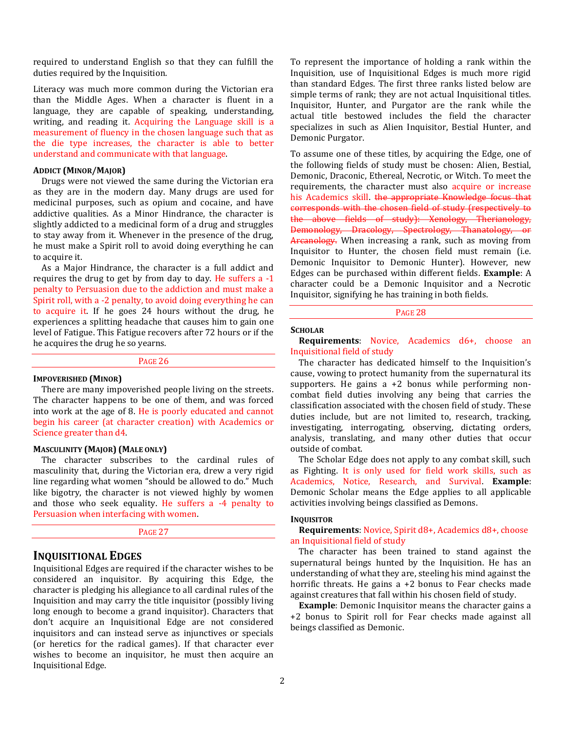required to understand English so that they can fulfill the duties required by the Inquisition.

Literacy was much more common during the Victorian era than the Middle Ages. When a character is fluent in a language, they are capable of speaking, understanding, writing, and reading it. Acquiring the Language skill is a measurement of fluency in the chosen language such that as the die type increases, the character is able to better understand and communicate with that language.

#### **ADDICT (MINOR/MAJOR)**

Drugs were not viewed the same during the Victorian era as they are in the modern day. Many drugs are used for medicinal purposes, such as opium and cocaine, and have addictive qualities. As a Minor Hindrance, the character is slightly addicted to a medicinal form of a drug and struggles to stay away from it. Whenever in the presence of the drug, he must make a Spirit roll to avoid doing everything he can to acquire it.

As a Major Hindrance, the character is a full addict and requires the drug to get by from day to day. He suffers a -1 penalty to Persuasion due to the addiction and must make a Spirit roll, with a -2 penalty, to avoid doing everything he can to acquire it. If he goes 24 hours without the drug, he experiences a splitting headache that causes him to gain one level of Fatigue. This Fatigue recovers after 72 hours or if the he acquires the drug he so yearns.

#### PAGE 26

#### **IMPOVERISHED (MINOR)**

There are many impoverished people living on the streets. The character happens to be one of them, and was forced into work at the age of 8. He is poorly educated and cannot begin his career (at character creation) with Academics or Science greater than d4.

#### **MASCULINITY (MAJOR) (MALE ONLY)**

The character subscribes to the cardinal rules of masculinity that, during the Victorian era, drew a very rigid line regarding what women "should be allowed to do." Much like bigotry, the character is not viewed highly by women and those who seek equality. He suffers a -4 penalty to Persuasion when interfacing with women.

PAGE 27

# **INQUISITIONAL EDGES**

Inquisitional Edges are required if the character wishes to be considered an inquisitor. By acquiring this Edge, the character is pledging his allegiance to all cardinal rules of the Inquisition and may carry the title inquisitor (possibly living long enough to become a grand inquisitor). Characters that don't acquire an Inquisitional Edge are not considered inquisitors and can instead serve as injunctives or specials (or heretics for the radical games). If that character ever wishes to become an inquisitor, he must then acquire an Inquisitional Edge.

To represent the importance of holding a rank within the Inquisition, use of Inquisitional Edges is much more rigid than standard Edges. The first three ranks listed below are simple terms of rank; they are not actual Inquisitional titles. Inquisitor, Hunter, and Purgator are the rank while the actual title bestowed includes the field the character specializes in such as Alien Inquisitor, Bestial Hunter, and Demonic Purgator.

To assume one of these titles, by acquiring the Edge, one of the following fields of study must be chosen: Alien, Bestial, Demonic, Draconic, Ethereal, Necrotic, or Witch. To meet the requirements, the character must also acquire or increase his Academics skill. the appropriate Knowledge focus that corresponds with the chosen field of study (respectively to the above fields of study): Xenology, Therianology, Demonology, Dracology, Spectrology, Thanatology, or Arcanology. When increasing a rank, such as moving from Inquisitor to Hunter, the chosen field must remain (i.e. Demonic Inquisitor to Demonic Hunter). However, new Edges can be purchased within different fields. **Example**: A character could be a Demonic Inquisitor and a Necrotic Inquisitor, signifying he has training in both fields.

PAGE 28

#### **SCHOLAR**

**Requirements**: Novice, Academics d6+, choose an Inquisitional field of study

The character has dedicated himself to the Inquisition's cause, vowing to protect humanity from the supernatural its supporters. He gains  $a + 2$  bonus while performing noncombat field duties involving any being that carries the classification associated with the chosen field of study. These duties include, but are not limited to, research, tracking, investigating, interrogating, observing, dictating orders, analysis, translating, and many other duties that occur outside of combat.

The Scholar Edge does not apply to any combat skill, such as Fighting. It is only used for field work skills, such as Academics, Notice, Research, and Survival. **Example**: Demonic Scholar means the Edge applies to all applicable activities involving beings classified as Demons.

#### **INQUISITOR**

**Requirements**: Novice, Spirit d8+, Academics d8+, choose an Inquisitional field of study

The character has been trained to stand against the supernatural beings hunted by the Inquisition. He has an understanding of what they are, steeling his mind against the horrific threats. He gains a +2 bonus to Fear checks made against creatures that fall within his chosen field of study.

**Example**: Demonic Inquisitor means the character gains a +2 bonus to Spirit roll for Fear checks made against all beings classified as Demonic.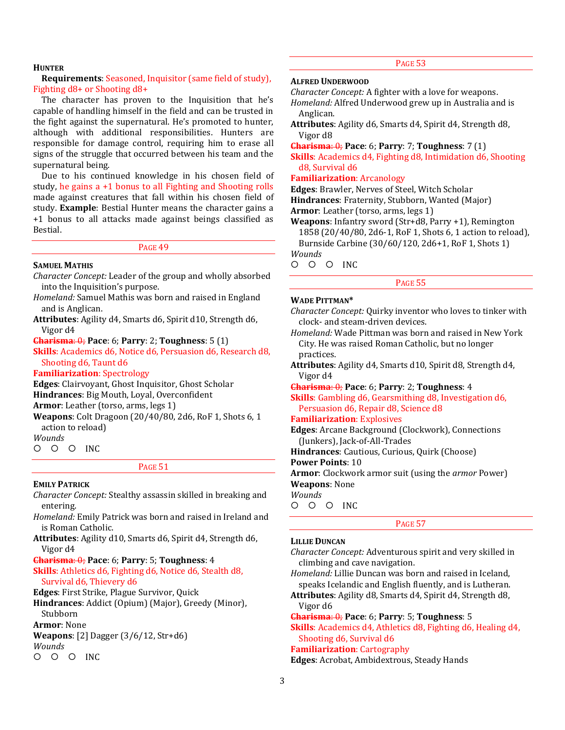#### **HUNTER**

#### **Requirements**: Seasoned, Inquisitor (same field of study), Fighting d8+ or Shooting d8+

The character has proven to the Inquisition that he's capable of handling himself in the field and can be trusted in the fight against the supernatural. He's promoted to hunter, although with additional responsibilities. Hunters are responsible for damage control, requiring him to erase all signs of the struggle that occurred between his team and the supernatural being.

Due to his continued knowledge in his chosen field of study, he gains a +1 bonus to all Fighting and Shooting rolls made against creatures that fall within his chosen field of study. **Example**: Bestial Hunter means the character gains a +1 bonus to all attacks made against beings classified as Bestial.

PAGE 49

#### **SAMUEL MATHIS**

*Character Concept:* Leader of the group and wholly absorbed into the Inquisition's purpose.

*Homeland:* Samuel Mathis was born and raised in England and is Anglican.

**Attributes**: Agility d4, Smarts d6, Spirit d10, Strength d6, Vigor d4

**Charisma**: 0; **Pace**: 6; **Parry**: 2; **Toughness**: 5 (1)

**Skills**: Academics d6, Notice d6, Persuasion d6, Research d8, Shooting d6, Taunt d6

## **Familiarization**: Spectrology

**Edges**: Clairvoyant, Ghost Inquisitor, Ghost Scholar

**Hindrances**: Big Mouth, Loyal, Overconfident

**Armor**: Leather (torso, arms, legs 1)

**Weapons**: Colt Dragoon (20/40/80, 2d6, RoF 1, Shots 6, 1 action to reload)

*Wounds*

 $O$   $O$   $O$  INC

#### PAGE 51

#### **EMILY PATRICK**

*Character Concept:* Stealthy assassin skilled in breaking and entering.

*Homeland:* Emily Patrick was born and raised in Ireland and is Roman Catholic.

**Attributes**: Agility d10, Smarts d6, Spirit d4, Strength d6, Vigor d4

**Charisma**: 0; **Pace**: 6; **Parry**: 5; **Toughness**: 4 **Skills**: Athletics d6, Fighting d6, Notice d6, Stealth d8, Survival d6, Thievery d6

**Edges**: First Strike, Plague Survivor, Quick **Hindrances**: Addict (Opium) (Major), Greedy (Minor),

Stubborn

**Armor**: None

**Weapons**: [2] Dagger (3/6/12, Str+d6) *Wounds*

O O O INC

# PAGE 53

## **ALFRED UNDERWOOD**

*Character Concept:* A fighter with a love for weapons. *Homeland:* Alfred Underwood grew up in Australia and is

Anglican.

**Attributes**: Agility d6, Smarts d4, Spirit d4, Strength d8, Vigor d8

**Charisma**: 0; **Pace**: 6; **Parry**: 7; **Toughness**: 7 (1)

**Skills**: Academics d4, Fighting d8, Intimidation d6, Shooting d8, Survival d6

#### **Familiarization**: Arcanology

**Edges**: Brawler, Nerves of Steel, Witch Scholar

**Hindrances**: Fraternity, Stubborn, Wanted (Major)

**Armor**: Leather (torso, arms, legs 1)

**Weapons**: Infantry sword (Str+d8, Parry +1), Remington 1858 (20/40/80, 2d6-1, RoF 1, Shots 6, 1 action to reload),

Burnside Carbine (30/60/120, 2d6+1, RoF 1, Shots 1) *Wounds*

O O O INC

#### PAGE 55

### **WADE PITTMAN\***

| Character Concept: Quirky inventor who loves to tinker with |  |  |  |
|-------------------------------------------------------------|--|--|--|
| clock- and steam-driven devices.                            |  |  |  |

*Homeland:* Wade Pittman was born and raised in New York City. He was raised Roman Catholic, but no longer practices.

**Attributes**: Agility d4, Smarts d10, Spirit d8, Strength d4, Vigor d4

**Charisma**: 0; **Pace**: 6; **Parry**: 2; **Toughness**: 4

**Skills**: Gambling d6, Gearsmithing d8, Investigation d6, Persuasion d6, Repair d8, Science d8

#### **Familiarization**: Explosives

**Edges**: Arcane Background (Clockwork), Connections (Junkers), Jack-of-All-Trades

**Hindrances**: Cautious, Curious, Quirk (Choose)

**Power Points**: 10

**Armor**: Clockwork armor suit (using the *armor* Power) **Weapons**: None

*Wounds*

O O O INC

## PAGE 57

#### **LILLIE DUNCAN**

*Character Concept:* Adventurous spirit and very skilled in climbing and cave navigation.

*Homeland:* Lillie Duncan was born and raised in Iceland, speaks Icelandic and English fluently, and is Lutheran.

**Attributes**: Agility d8, Smarts d4, Spirit d4, Strength d8, Vigor d6

**Charisma**: 0; **Pace**: 6; **Parry**: 5; **Toughness**: 5

**Skills**: Academics d4, Athletics d8, Fighting d6, Healing d4, Shooting d6, Survival d6

**Familiarization**: Cartography

**Edges**: Acrobat, Ambidextrous, Steady Hands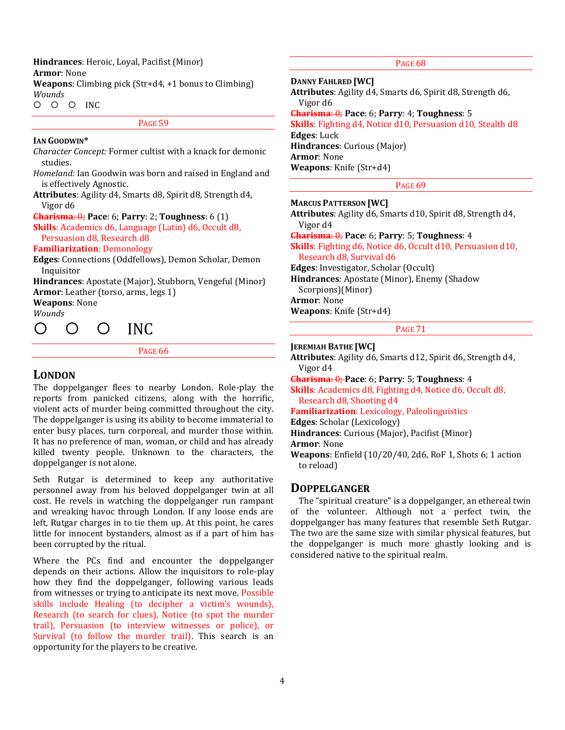**Hindrances**: Heroic, Loyal, Pacifist (Minor)

**Armor**: None

**Weapons**: Climbing pick (Str+d4, +1 bonus to Climbing) *Wounds*

O O O INC

PAGE 59

#### **IAN GOODWIN\***

*Character Concept:* Former cultist with a knack for demonic studies.

*Homeland:* Ian Goodwin was born and raised in England and is effectively Agnostic.

**Attributes**: Agility d4, Smarts d8, Spirit d8, Strength d4, Vigor d6

**Charisma**: 0; **Pace**: 6; **Parry**: 2; **Toughness**: 6 (1)

**Skills**: Academics d6, Language (Latin) d6, Occult d8, Persuasion d8, Research d8

# **Familiarization**: Demonology

**Edges**: Connections (Oddfellows), Demon Scholar, Demon Inquisitor

**Hindrances**: Apostate (Major), Stubborn, Vengeful (Minor) **Armor**: Leather (torso, arms, legs 1)

**Weapons**: None

*Wounds*



PAGE 66

# **LONDON**

The doppelganger flees to nearby London. Role-play the reports from panicked citizens, along with the horrific, violent acts of murder being committed throughout the city. The doppelganger is using its ability to become immaterial to enter busy places, turn corporeal, and murder those within. It has no preference of man, woman, or child and has already killed twenty people. Unknown to the characters, the doppelganger is not alone.

Seth Rutgar is determined to keep any authoritative personnel away from his beloved doppelganger twin at all cost. He revels in watching the doppelganger run rampant and wreaking havoc through London. If any loose ends are left, Rutgar charges in to tie them up. At this point, he cares little for innocent bystanders, almost as if a part of him has been corrupted by the ritual.

Where the PCs find and encounter the doppelganger depends on their actions. Allow the inquisitors to role-play how they find the doppelganger, following various leads from witnesses or trying to anticipate its next move. Possible skills include Healing (to decipher a victim's wounds), Research (to search for clues), Notice (to spot the murder trail), Persuasion (to interview witnesses or police), or Survival (to follow the murder trail). This search is an opportunity for the players to be creative.

PAGE 68

**DANNY FAHLRED [WC]**

**Attributes**: Agility d4, Smarts d6, Spirit d8, Strength d6, Vigor d6

**Charisma**: 0; **Pace**: 6; **Parry**: 4; **Toughness**: 5

**Skills**: Fighting d4, Notice d10, Persuasion d10, Stealth d8 **Edges**: Luck

**Hindrances**: Curious (Major) **Armor**: None

**Weapons**: Knife (Str+d4)

PAGE 69

**MARCUS PATTERSON [WC]**

**Attributes**: Agility d6, Smarts d10, Spirit d8, Strength d4, Vigor d4

**Charisma**: 0; **Pace**: 6; **Parry**: 5; **Toughness**: 4 **Skills**: Fighting d6, Notice d6, Occult d10, Persuasion d10, Research d8, Survival d6

**Edges**: Investigator, Scholar (Occult)

**Hindrances**: Apostate (Minor), Enemy (Shadow Scorpions)(Minor) **Armor**: None

**Weapons**: Knife (Str+d4)

PAGE 71

### **JEREMIAH BATHE [WC]**

**Attributes**: Agility d6, Smarts d12, Spirit d6, Strength d4, Vigor d4

**Charisma**: 0; **Pace**: 6; **Parry**: 5; **Toughness**: 4

**Skills**: Academics d8, Fighting d4, Notice d6, Occult d8, Research d8, Shooting d4

**Familiarization**: Lexicology, Paleolinguistics

**Edges**: Scholar (Lexicology)

**Hindrances**: Curious (Major), Pacifist (Minor)

**Armor**: None

**Weapons**: Enfield (10/20/40, 2d6, RoF 1, Shots 6; 1 action to reload)

# **DOPPELGANGER**

The "spiritual creature" is a doppelganger, an ethereal twin of the volunteer. Although not a perfect twin, the doppelganger has many features that resemble Seth Rutgar. The two are the same size with similar physical features, but the doppelganger is much more ghastly looking and is considered native to the spiritual realm.